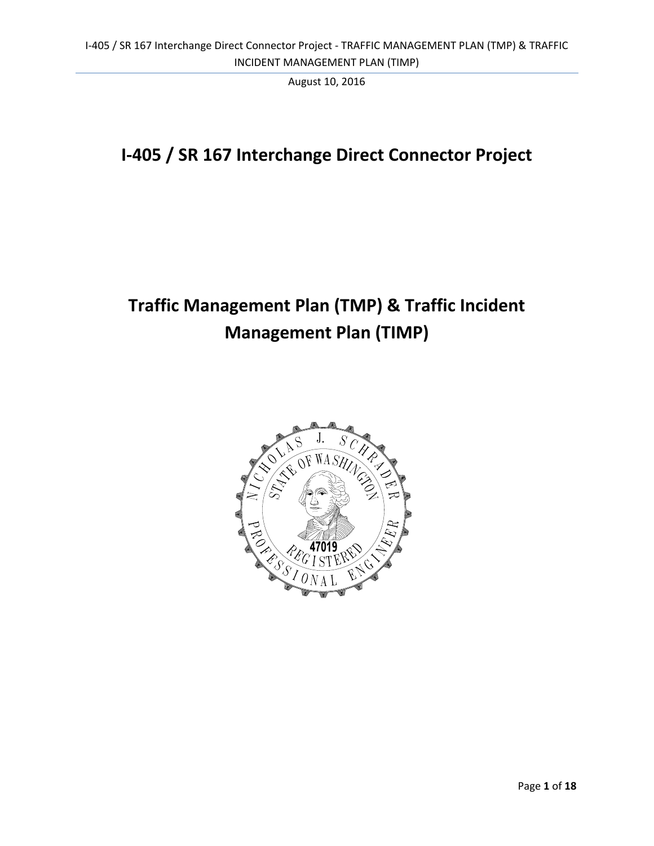# **I‐405 / SR 167 Interchange Direct Connector Project**

# **Traffic Management Plan (TMP) & Traffic Incident Management Plan (TIMP)**

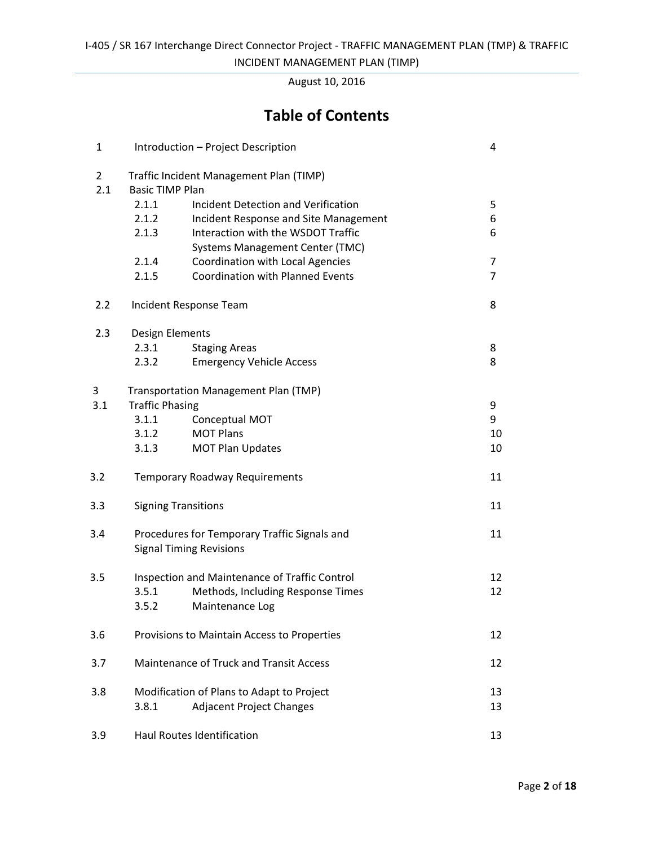INCIDENT MANAGEMENT PLAN (TIMP)

August 10, 2016

## **Table of Contents**

| $\mathbf{1}$          |                                                                                      | Introduction - Project Description      | $\overline{4}$ |  |
|-----------------------|--------------------------------------------------------------------------------------|-----------------------------------------|----------------|--|
| $\overline{2}$<br>2.1 | Traffic Incident Management Plan (TIMP)<br><b>Basic TIMP Plan</b>                    |                                         |                |  |
|                       | 2.1.1                                                                                | Incident Detection and Verification     | 5              |  |
|                       | 2.1.2                                                                                | Incident Response and Site Management   | 6              |  |
|                       | 2.1.3                                                                                | Interaction with the WSDOT Traffic      | 6              |  |
|                       |                                                                                      | <b>Systems Management Center (TMC)</b>  |                |  |
|                       | 2.1.4                                                                                | Coordination with Local Agencies        | $\overline{7}$ |  |
|                       | 2.1.5                                                                                | <b>Coordination with Planned Events</b> | $\overline{7}$ |  |
| 2.2                   | Incident Response Team                                                               |                                         | 8              |  |
| 2.3                   | Design Elements                                                                      |                                         |                |  |
|                       | 2.3.1                                                                                | <b>Staging Areas</b>                    | 8              |  |
|                       | 2.3.2                                                                                | <b>Emergency Vehicle Access</b>         | 8              |  |
| 3                     |                                                                                      | Transportation Management Plan (TMP)    |                |  |
| 3.1                   | <b>Traffic Phasing</b>                                                               |                                         | 9              |  |
|                       | 3.1.1                                                                                | Conceptual MOT                          | 9              |  |
|                       | 3.1.2                                                                                | <b>MOT Plans</b>                        | 10             |  |
|                       | 3.1.3                                                                                | <b>MOT Plan Updates</b>                 | 10             |  |
| 3.2                   | <b>Temporary Roadway Requirements</b>                                                |                                         | 11             |  |
| 3.3                   | <b>Signing Transitions</b>                                                           |                                         | 11             |  |
| 3.4                   | 11<br>Procedures for Temporary Traffic Signals and<br><b>Signal Timing Revisions</b> |                                         |                |  |
| 3.5                   | Inspection and Maintenance of Traffic Control                                        |                                         | 12             |  |
|                       | 3.5.1                                                                                | Methods, Including Response Times       | 12             |  |
|                       | 3.5.2                                                                                | Maintenance Log                         |                |  |
| 3.6                   | Provisions to Maintain Access to Properties                                          |                                         | 12             |  |
| 3.7                   | Maintenance of Truck and Transit Access<br>12                                        |                                         |                |  |
| 3.8                   | Modification of Plans to Adapt to Project                                            |                                         | 13             |  |
|                       | 3.8.1                                                                                | <b>Adjacent Project Changes</b>         | 13             |  |
| 3.9                   |                                                                                      | <b>Haul Routes Identification</b>       | 13             |  |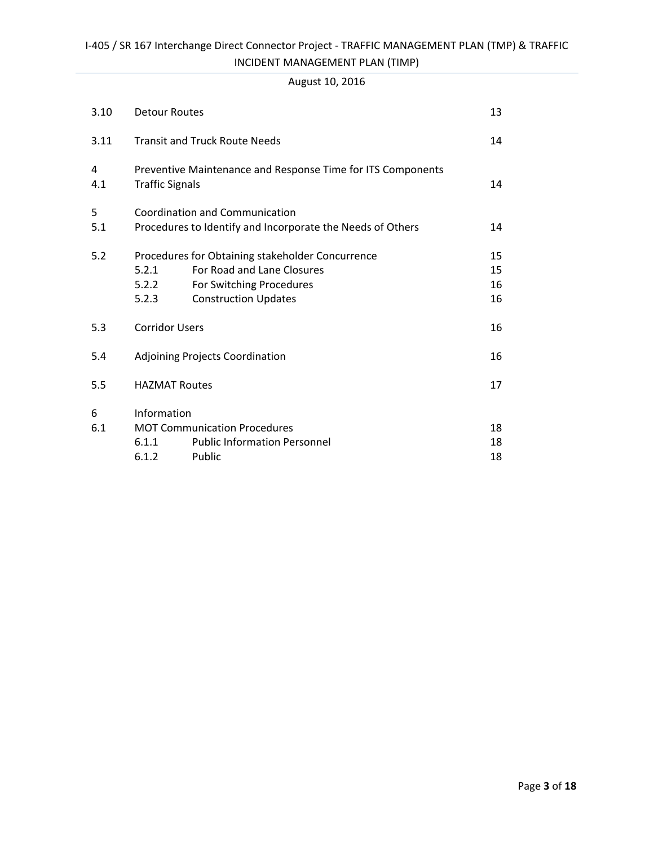#### I‐405 / SR 167 Interchange Direct Connector Project ‐ TRAFFIC MANAGEMENT PLAN (TMP) & TRAFFIC INCIDENT MANAGEMENT PLAN (TIMP)

#### August 10, 2016

| 3.10     | <b>Detour Routes</b>                                                                  |                                                            | 13 |  |  |
|----------|---------------------------------------------------------------------------------------|------------------------------------------------------------|----|--|--|
| 3.11     | <b>Transit and Truck Route Needs</b>                                                  |                                                            | 14 |  |  |
| 4<br>4.1 | Preventive Maintenance and Response Time for ITS Components<br><b>Traffic Signals</b> |                                                            | 14 |  |  |
| 5        | Coordination and Communication                                                        |                                                            |    |  |  |
| 5.1      |                                                                                       | Procedures to Identify and Incorporate the Needs of Others | 14 |  |  |
| 5.2      |                                                                                       | Procedures for Obtaining stakeholder Concurrence           | 15 |  |  |
|          | 5.2.1                                                                                 | For Road and Lane Closures                                 | 15 |  |  |
|          | 5.2.2                                                                                 | For Switching Procedures                                   | 16 |  |  |
|          | 5.2.3                                                                                 | <b>Construction Updates</b>                                | 16 |  |  |
| 5.3      | <b>Corridor Users</b>                                                                 |                                                            | 16 |  |  |
| 5.4      | Adjoining Projects Coordination                                                       |                                                            | 16 |  |  |
| 5.5      | <b>HAZMAT Routes</b>                                                                  |                                                            | 17 |  |  |
| 6        | Information                                                                           |                                                            |    |  |  |
| 6.1      | <b>MOT Communication Procedures</b>                                                   |                                                            | 18 |  |  |
|          | 6.1.1                                                                                 | <b>Public Information Personnel</b>                        | 18 |  |  |
|          | 6.1.2                                                                                 | Public                                                     | 18 |  |  |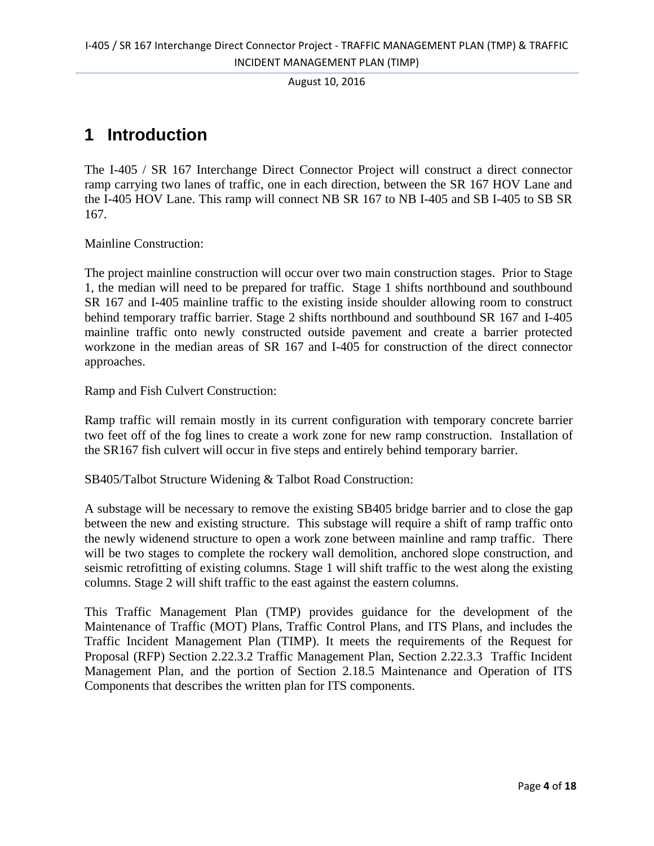## **1 Introduction**

The I-405 / SR 167 Interchange Direct Connector Project will construct a direct connector ramp carrying two lanes of traffic, one in each direction, between the SR 167 HOV Lane and the I-405 HOV Lane. This ramp will connect NB SR 167 to NB I-405 and SB I-405 to SB SR 167.

Mainline Construction:

The project mainline construction will occur over two main construction stages. Prior to Stage 1, the median will need to be prepared for traffic. Stage 1 shifts northbound and southbound SR 167 and I-405 mainline traffic to the existing inside shoulder allowing room to construct behind temporary traffic barrier. Stage 2 shifts northbound and southbound SR 167 and I-405 mainline traffic onto newly constructed outside pavement and create a barrier protected workzone in the median areas of SR 167 and I-405 for construction of the direct connector approaches.

Ramp and Fish Culvert Construction:

Ramp traffic will remain mostly in its current configuration with temporary concrete barrier two feet off of the fog lines to create a work zone for new ramp construction. Installation of the SR167 fish culvert will occur in five steps and entirely behind temporary barrier.

SB405/Talbot Structure Widening & Talbot Road Construction:

A substage will be necessary to remove the existing SB405 bridge barrier and to close the gap between the new and existing structure. This substage will require a shift of ramp traffic onto the newly widenend structure to open a work zone between mainline and ramp traffic. There will be two stages to complete the rockery wall demolition, anchored slope construction, and seismic retrofitting of existing columns. Stage 1 will shift traffic to the west along the existing columns. Stage 2 will shift traffic to the east against the eastern columns.

This Traffic Management Plan (TMP) provides guidance for the development of the Maintenance of Traffic (MOT) Plans, Traffic Control Plans, and ITS Plans, and includes the Traffic Incident Management Plan (TIMP). It meets the requirements of the Request for Proposal (RFP) Section 2.22.3.2 Traffic Management Plan, Section 2.22.3.3 Traffic Incident Management Plan, and the portion of Section 2.18.5 Maintenance and Operation of ITS Components that describes the written plan for ITS components.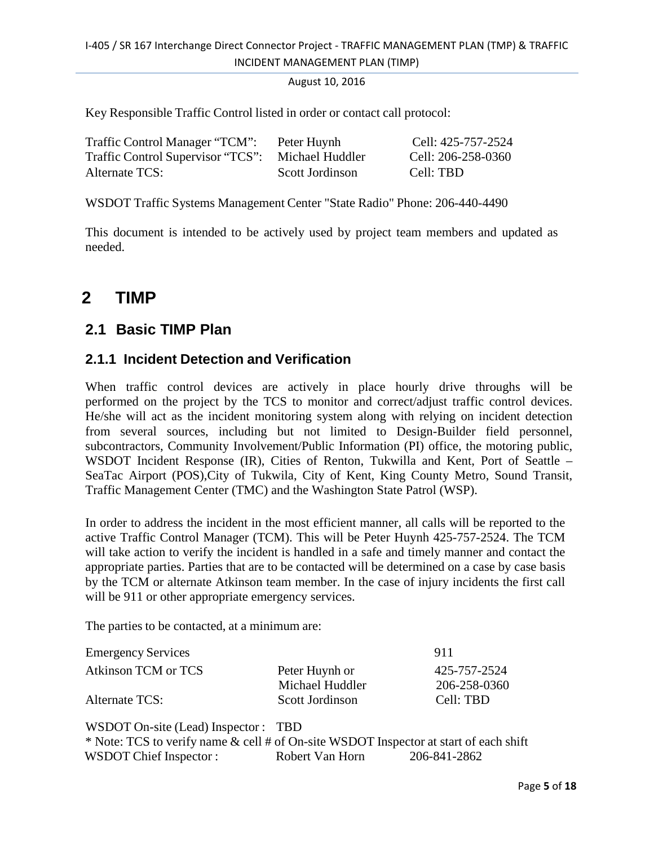Key Responsible Traffic Control listed in order or contact call protocol:

| Traffic Control Manager "TCM":    | Peter Huynh     | Cell: 425-757-2524 |
|-----------------------------------|-----------------|--------------------|
| Traffic Control Supervisor "TCS": | Michael Huddler | Cell: 206-258-0360 |
| Alternate TCS:                    | Scott Jordinson | Cell: TBD          |

WSDOT Traffic Systems Management Center "State Radio" Phone: 206-440-4490

This document is intended to be actively used by project team members and updated as needed.

## **2 TIMP**

#### **2.1 Basic TIMP Plan**

#### **2.1.1 Incident Detection and Verification**

When traffic control devices are actively in place hourly drive throughs will be performed on the project by the TCS to monitor and correct/adjust traffic control devices. He/she will act as the incident monitoring system along with relying on incident detection from several sources, including but not limited to Design-Builder field personnel, subcontractors, Community Involvement/Public Information (PI) office, the motoring public, WSDOT Incident Response (IR), Cities of Renton, Tukwilla and Kent, Port of Seattle – SeaTac Airport (POS),City of Tukwila, City of Kent, King County Metro, Sound Transit, Traffic Management Center (TMC) and the Washington State Patrol (WSP).

In order to address the incident in the most efficient manner, all calls will be reported to the active Traffic Control Manager (TCM). This will be Peter Huynh 425-757-2524. The TCM will take action to verify the incident is handled in a safe and timely manner and contact the appropriate parties. Parties that are to be contacted will be determined on a case by case basis by the TCM or alternate Atkinson team member. In the case of injury incidents the first call will be 911 or other appropriate emergency services.

The parties to be contacted, at a minimum are:

| <b>Emergency Services</b> |                 | 911          |
|---------------------------|-----------------|--------------|
| Atkinson TCM or TCS       | Peter Huynh or  | 425-757-2524 |
|                           | Michael Huddler | 206-258-0360 |
| Alternate TCS:            | Scott Jordinson | Cell: TBD    |

WSDOT On-site (Lead) Inspector : TBD \* Note: TCS to verify name & cell # of On-site WSDOT Inspector at start of each shift WSDOT Chief Inspector : Robert Van Horn 206-841-2862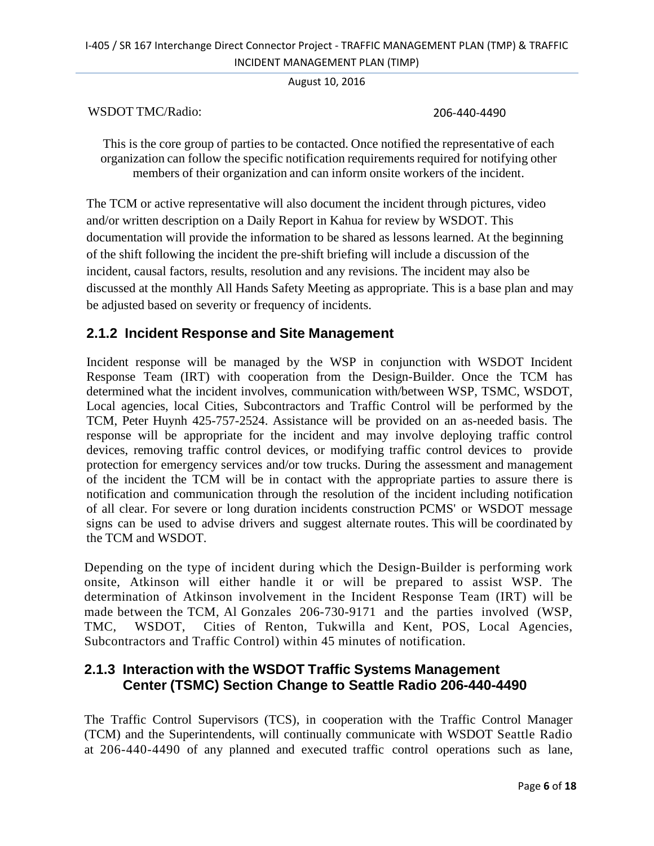#### I‐405 / SR 167 Interchange Direct Connector Project ‐ TRAFFIC MANAGEMENT PLAN (TMP) & TRAFFIC INCIDENT MANAGEMENT PLAN (TIMP)

August 10, 2016

WSDOT TMC/Radio: 206‐440‐4490

This is the core group of parties to be contacted. Once notified the representative of each organization can follow the specific notification requirements required for notifying other members of their organization and can inform onsite workers of the incident.

The TCM or active representative will also document the incident through pictures, video and/or written description on a Daily Report in Kahua for review by WSDOT. This documentation will provide the information to be shared as lessons learned. At the beginning of the shift following the incident the pre-shift briefing will include a discussion of the incident, causal factors, results, resolution and any revisions. The incident may also be discussed at the monthly All Hands Safety Meeting as appropriate. This is a base plan and may be adjusted based on severity or frequency of incidents.

#### **2.1.2 Incident Response and Site Management**

Incident response will be managed by the WSP in conjunction with WSDOT Incident Response Team (IRT) with cooperation from the Design-Builder. Once the TCM has determined what the incident involves, communication with/between WSP, TSMC, WSDOT, Local agencies, local Cities, Subcontractors and Traffic Control will be performed by the TCM, Peter Huynh 425-757-2524. Assistance will be provided on an as-needed basis. The response will be appropriate for the incident and may involve deploying traffic control devices, removing traffic control devices, or modifying traffic control devices to provide protection for emergency services and/or tow trucks. During the assessment and management of the incident the TCM will be in contact with the appropriate parties to assure there is notification and communication through the resolution of the incident including notification of all clear. For severe or long duration incidents construction PCMS' or WSDOT message signs can be used to advise drivers and suggest alternate routes. This will be coordinated by the TCM and WSDOT.

Depending on the type of incident during which the Design-Builder is performing work onsite, Atkinson will either handle it or will be prepared to assist WSP. The determination of Atkinson involvement in the Incident Response Team (IRT) will be made between the TCM, Al Gonzales 206-730-9171 and the parties involved (WSP, TMC, WSDOT, Cities of Renton, Tukwilla and Kent, POS, Local Agencies, Subcontractors and Traffic Control) within 45 minutes of notification.

#### **2.1.3 Interaction with the WSDOT Traffic Systems Management Center (TSMC) Section Change to Seattle Radio 206-440-4490**

The Traffic Control Supervisors (TCS), in cooperation with the Traffic Control Manager (TCM) and the Superintendents, will continually communicate with WSDOT Seattle Radio at 206-440-4490 of any planned and executed traffic control operations such as lane,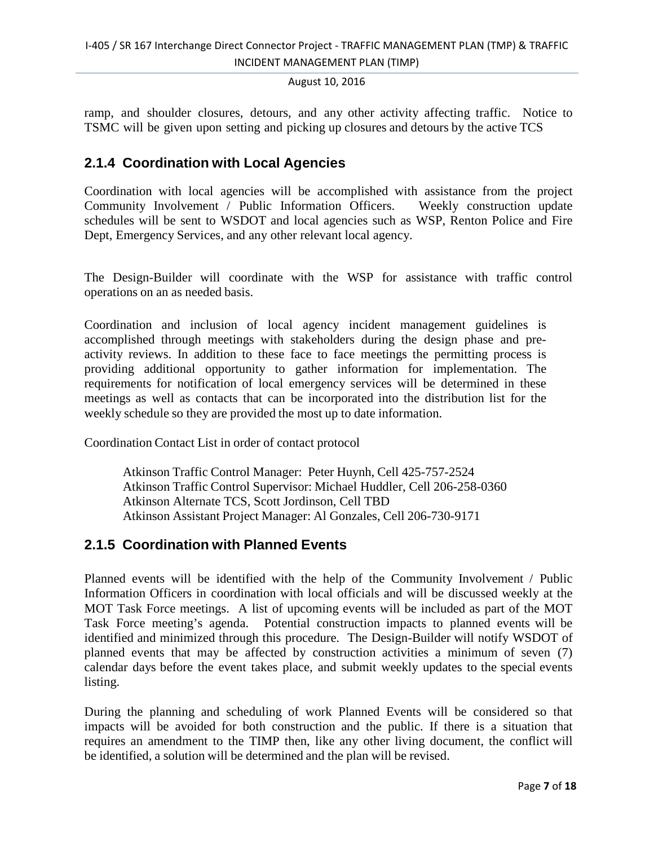ramp, and shoulder closures, detours, and any other activity affecting traffic. Notice to TSMC will be given upon setting and picking up closures and detours by the active TCS

#### **2.1.4 Coordination with Local Agencies**

Coordination with local agencies will be accomplished with assistance from the project Community Involvement / Public Information Officers. Weekly construction update schedules will be sent to WSDOT and local agencies such as WSP, Renton Police and Fire Dept, Emergency Services, and any other relevant local agency.

The Design-Builder will coordinate with the WSP for assistance with traffic control operations on an as needed basis.

Coordination and inclusion of local agency incident management guidelines is accomplished through meetings with stakeholders during the design phase and preactivity reviews. In addition to these face to face meetings the permitting process is providing additional opportunity to gather information for implementation. The requirements for notification of local emergency services will be determined in these meetings as well as contacts that can be incorporated into the distribution list for the weekly schedule so they are provided the most up to date information.

Coordination Contact List in order of contact protocol

Atkinson Traffic Control Manager: Peter Huynh, Cell 425-757-2524 Atkinson Traffic Control Supervisor: Michael Huddler, Cell 206-258-0360 Atkinson Alternate TCS, Scott Jordinson, Cell TBD Atkinson Assistant Project Manager: Al Gonzales, Cell 206-730-9171

#### **2.1.5 Coordination with Planned Events**

Planned events will be identified with the help of the Community Involvement / Public Information Officers in coordination with local officials and will be discussed weekly at the MOT Task Force meetings. A list of upcoming events will be included as part of the MOT Task Force meeting's agenda. Potential construction impacts to planned events will be identified and minimized through this procedure. The Design-Builder will notify WSDOT of planned events that may be affected by construction activities a minimum of seven (7) calendar days before the event takes place, and submit weekly updates to the special events listing.

During the planning and scheduling of work Planned Events will be considered so that impacts will be avoided for both construction and the public. If there is a situation that requires an amendment to the TIMP then, like any other living document, the conflict will be identified, a solution will be determined and the plan will be revised.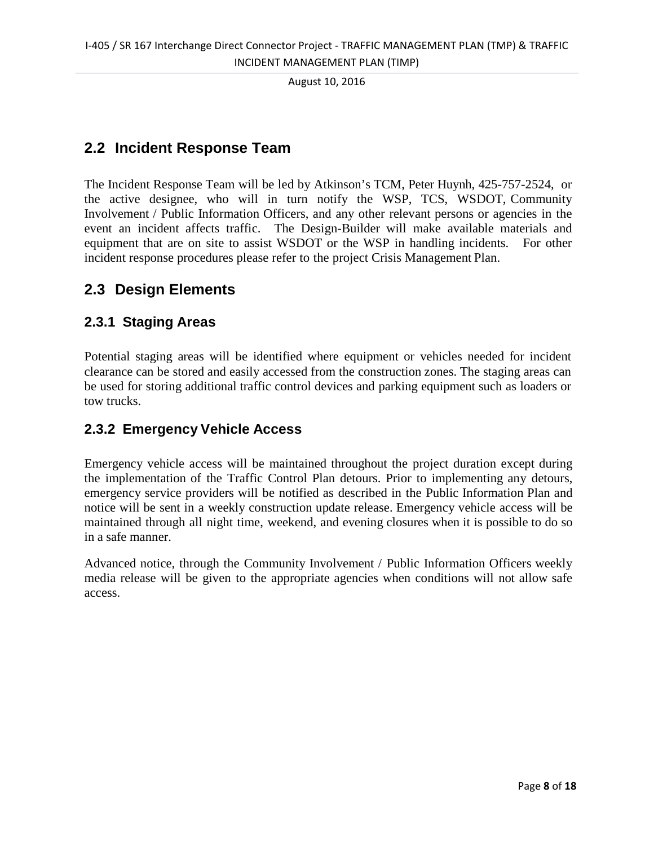#### **2.2 Incident Response Team**

The Incident Response Team will be led by Atkinson's TCM, Peter Huynh, 425-757-2524, or the active designee, who will in turn notify the WSP, TCS, WSDOT, Community Involvement / Public Information Officers, and any other relevant persons or agencies in the event an incident affects traffic. The Design-Builder will make available materials and equipment that are on site to assist WSDOT or the WSP in handling incidents. For other incident response procedures please refer to the project Crisis Management Plan.

#### **2.3 Design Elements**

#### **2.3.1 Staging Areas**

Potential staging areas will be identified where equipment or vehicles needed for incident clearance can be stored and easily accessed from the construction zones. The staging areas can be used for storing additional traffic control devices and parking equipment such as loaders or tow trucks.

#### **2.3.2 Emergency Vehicle Access**

Emergency vehicle access will be maintained throughout the project duration except during the implementation of the Traffic Control Plan detours. Prior to implementing any detours, emergency service providers will be notified as described in the Public Information Plan and notice will be sent in a weekly construction update release. Emergency vehicle access will be maintained through all night time, weekend, and evening closures when it is possible to do so in a safe manner.

Advanced notice, through the Community Involvement / Public Information Officers weekly media release will be given to the appropriate agencies when conditions will not allow safe access.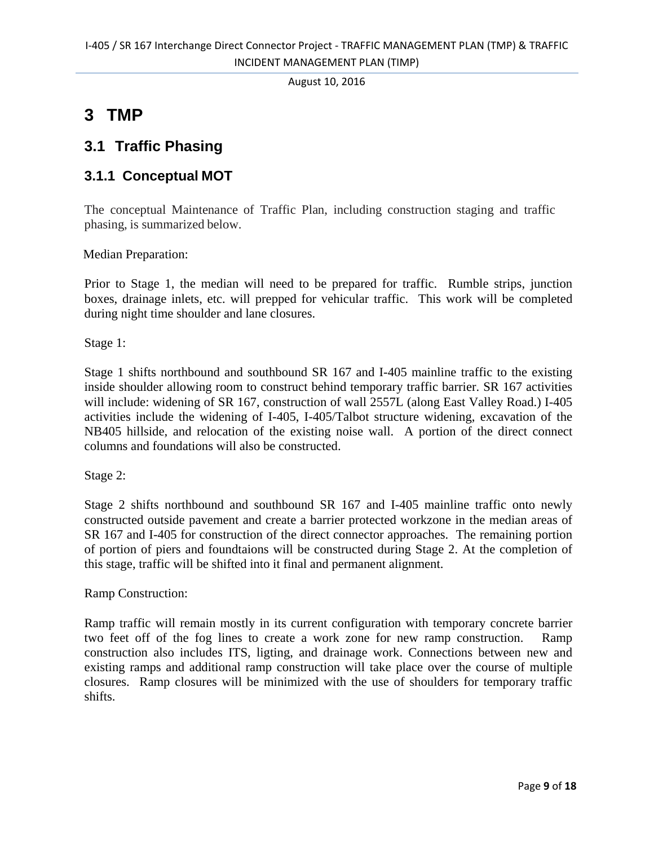## **3 TMP**

#### **3.1 Traffic Phasing**

#### **3.1.1 Conceptual MOT**

The conceptual Maintenance of Traffic Plan, including construction staging and traffic phasing, is summarized below.

Median Preparation:

Prior to Stage 1, the median will need to be prepared for traffic. Rumble strips, junction boxes, drainage inlets, etc. will prepped for vehicular traffic. This work will be completed during night time shoulder and lane closures.

Stage 1:

Stage 1 shifts northbound and southbound SR 167 and I-405 mainline traffic to the existing inside shoulder allowing room to construct behind temporary traffic barrier. SR 167 activities will include: widening of SR 167, construction of wall 2557L (along East Valley Road.) I-405 activities include the widening of I-405, I-405/Talbot structure widening, excavation of the NB405 hillside, and relocation of the existing noise wall. A portion of the direct connect columns and foundations will also be constructed.

Stage 2:

Stage 2 shifts northbound and southbound SR 167 and I-405 mainline traffic onto newly constructed outside pavement and create a barrier protected workzone in the median areas of SR 167 and I-405 for construction of the direct connector approaches. The remaining portion of portion of piers and foundtaions will be constructed during Stage 2. At the completion of this stage, traffic will be shifted into it final and permanent alignment.

Ramp Construction:

Ramp traffic will remain mostly in its current configuration with temporary concrete barrier two feet off of the fog lines to create a work zone for new ramp construction. Ramp construction also includes ITS, ligting, and drainage work. Connections between new and existing ramps and additional ramp construction will take place over the course of multiple closures. Ramp closures will be minimized with the use of shoulders for temporary traffic shifts.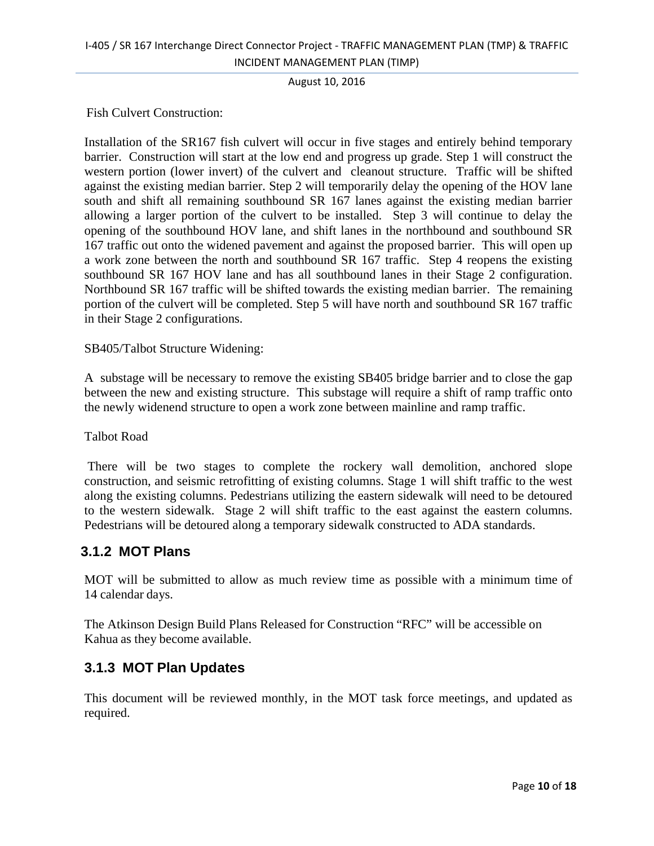Fish Culvert Construction:

Installation of the SR167 fish culvert will occur in five stages and entirely behind temporary barrier. Construction will start at the low end and progress up grade. Step 1 will construct the western portion (lower invert) of the culvert and cleanout structure. Traffic will be shifted against the existing median barrier. Step 2 will temporarily delay the opening of the HOV lane south and shift all remaining southbound SR 167 lanes against the existing median barrier allowing a larger portion of the culvert to be installed. Step 3 will continue to delay the opening of the southbound HOV lane, and shift lanes in the northbound and southbound SR 167 traffic out onto the widened pavement and against the proposed barrier. This will open up a work zone between the north and southbound SR 167 traffic. Step 4 reopens the existing southbound SR 167 HOV lane and has all southbound lanes in their Stage 2 configuration. Northbound SR 167 traffic will be shifted towards the existing median barrier. The remaining portion of the culvert will be completed. Step 5 will have north and southbound SR 167 traffic in their Stage 2 configurations.

SB405/Talbot Structure Widening:

A substage will be necessary to remove the existing SB405 bridge barrier and to close the gap between the new and existing structure. This substage will require a shift of ramp traffic onto the newly widenend structure to open a work zone between mainline and ramp traffic.

Talbot Road

 There will be two stages to complete the rockery wall demolition, anchored slope construction, and seismic retrofitting of existing columns. Stage 1 will shift traffic to the west along the existing columns. Pedestrians utilizing the eastern sidewalk will need to be detoured to the western sidewalk. Stage 2 will shift traffic to the east against the eastern columns. Pedestrians will be detoured along a temporary sidewalk constructed to ADA standards.

#### **3.1.2 MOT Plans**

MOT will be submitted to allow as much review time as possible with a minimum time of 14 calendar days.

The Atkinson Design Build Plans Released for Construction "RFC" will be accessible on Kahua as they become available.

#### **3.1.3 MOT Plan Updates**

This document will be reviewed monthly, in the MOT task force meetings, and updated as required.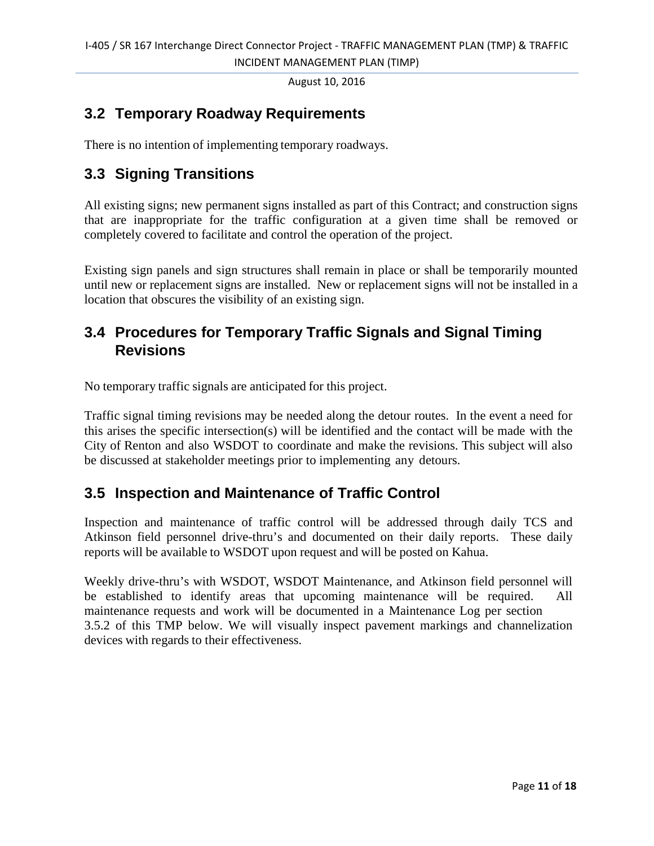## **3.2 Temporary Roadway Requirements**

There is no intention of implementing temporary roadways.

#### **3.3 Signing Transitions**

All existing signs; new permanent signs installed as part of this Contract; and construction signs that are inappropriate for the traffic configuration at a given time shall be removed or completely covered to facilitate and control the operation of the project.

Existing sign panels and sign structures shall remain in place or shall be temporarily mounted until new or replacement signs are installed. New or replacement signs will not be installed in a location that obscures the visibility of an existing sign.

#### **3.4 Procedures for Temporary Traffic Signals and Signal Timing Revisions**

No temporary traffic signals are anticipated for this project.

Traffic signal timing revisions may be needed along the detour routes. In the event a need for this arises the specific intersection(s) will be identified and the contact will be made with the City of Renton and also WSDOT to coordinate and make the revisions. This subject will also be discussed at stakeholder meetings prior to implementing any detours.

#### **3.5 Inspection and Maintenance of Traffic Control**

Inspection and maintenance of traffic control will be addressed through daily TCS and Atkinson field personnel drive-thru's and documented on their daily reports. These daily reports will be available to WSDOT upon request and will be posted on Kahua.

Weekly drive-thru's with WSDOT, WSDOT Maintenance, and Atkinson field personnel will be established to identify areas that upcoming maintenance will be required. All maintenance requests and work will be documented in a Maintenance Log per section 3.5.2 of this TMP below. We will visually inspect pavement markings and channelization devices with regards to their effectiveness.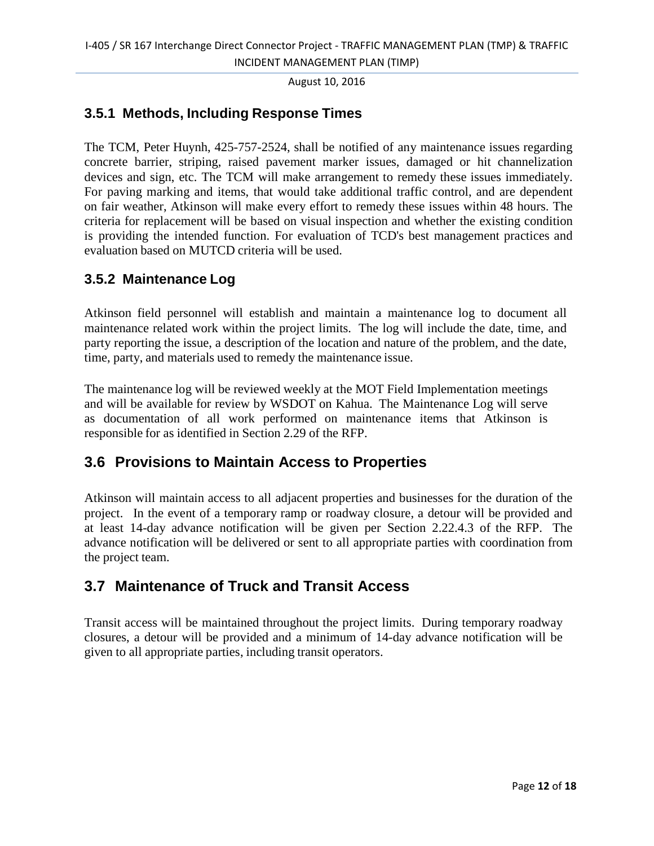#### **3.5.1 Methods, Including Response Times**

The TCM, Peter Huynh, 425-757-2524, shall be notified of any maintenance issues regarding concrete barrier, striping, raised pavement marker issues, damaged or hit channelization devices and sign, etc. The TCM will make arrangement to remedy these issues immediately. For paving marking and items, that would take additional traffic control, and are dependent on fair weather, Atkinson will make every effort to remedy these issues within 48 hours. The criteria for replacement will be based on visual inspection and whether the existing condition is providing the intended function. For evaluation of TCD's best management practices and evaluation based on MUTCD criteria will be used.

#### **3.5.2 Maintenance Log**

Atkinson field personnel will establish and maintain a maintenance log to document all maintenance related work within the project limits. The log will include the date, time, and party reporting the issue, a description of the location and nature of the problem, and the date, time, party, and materials used to remedy the maintenance issue.

The maintenance log will be reviewed weekly at the MOT Field Implementation meetings and will be available for review by WSDOT on Kahua. The Maintenance Log will serve as documentation of all work performed on maintenance items that Atkinson is responsible for as identified in Section 2.29 of the RFP.

#### **3.6 Provisions to Maintain Access to Properties**

Atkinson will maintain access to all adjacent properties and businesses for the duration of the project. In the event of a temporary ramp or roadway closure, a detour will be provided and at least 14-day advance notification will be given per Section 2.22.4.3 of the RFP. The advance notification will be delivered or sent to all appropriate parties with coordination from the project team.

#### **3.7 Maintenance of Truck and Transit Access**

Transit access will be maintained throughout the project limits. During temporary roadway closures, a detour will be provided and a minimum of 14-day advance notification will be given to all appropriate parties, including transit operators.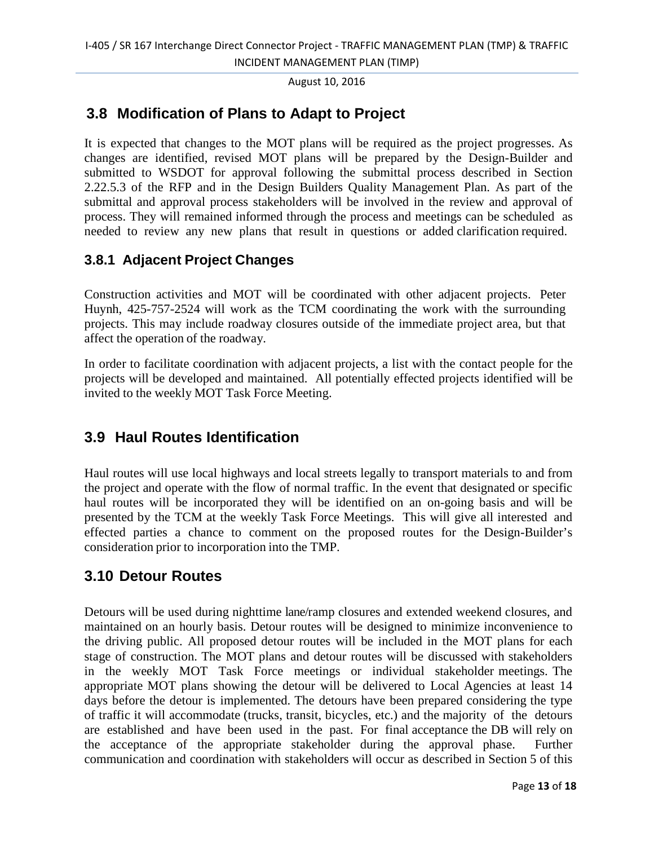INCIDENT MANAGEMENT PLAN (TIMP)

August 10, 2016

### **3.8 Modification of Plans to Adapt to Project**

It is expected that changes to the MOT plans will be required as the project progresses. As changes are identified, revised MOT plans will be prepared by the Design-Builder and submitted to WSDOT for approval following the submittal process described in Section 2.22.5.3 of the RFP and in the Design Builders Quality Management Plan. As part of the submittal and approval process stakeholders will be involved in the review and approval of process. They will remained informed through the process and meetings can be scheduled as needed to review any new plans that result in questions or added clarification required.

#### **3.8.1 Adjacent Project Changes**

Construction activities and MOT will be coordinated with other adjacent projects. Peter Huynh, 425-757-2524 will work as the TCM coordinating the work with the surrounding projects. This may include roadway closures outside of the immediate project area, but that affect the operation of the roadway.

In order to facilitate coordination with adjacent projects, a list with the contact people for the projects will be developed and maintained. All potentially effected projects identified will be invited to the weekly MOT Task Force Meeting.

#### **3.9 Haul Routes Identification**

Haul routes will use local highways and local streets legally to transport materials to and from the project and operate with the flow of normal traffic. In the event that designated or specific haul routes will be incorporated they will be identified on an on-going basis and will be presented by the TCM at the weekly Task Force Meetings. This will give all interested and effected parties a chance to comment on the proposed routes for the Design-Builder's consideration prior to incorporation into the TMP.

#### **3.10 Detour Routes**

Detours will be used during nighttime lane/ramp closures and extended weekend closures, and maintained on an hourly basis. Detour routes will be designed to minimize inconvenience to the driving public. All proposed detour routes will be included in the MOT plans for each stage of construction. The MOT plans and detour routes will be discussed with stakeholders in the weekly MOT Task Force meetings or individual stakeholder meetings. The appropriate MOT plans showing the detour will be delivered to Local Agencies at least 14 days before the detour is implemented. The detours have been prepared considering the type of traffic it will accommodate (trucks, transit, bicycles, etc.) and the majority of the detours are established and have been used in the past. For final acceptance the DB will rely on the acceptance of the appropriate stakeholder during the approval phase. Further communication and coordination with stakeholders will occur as described in Section 5 of this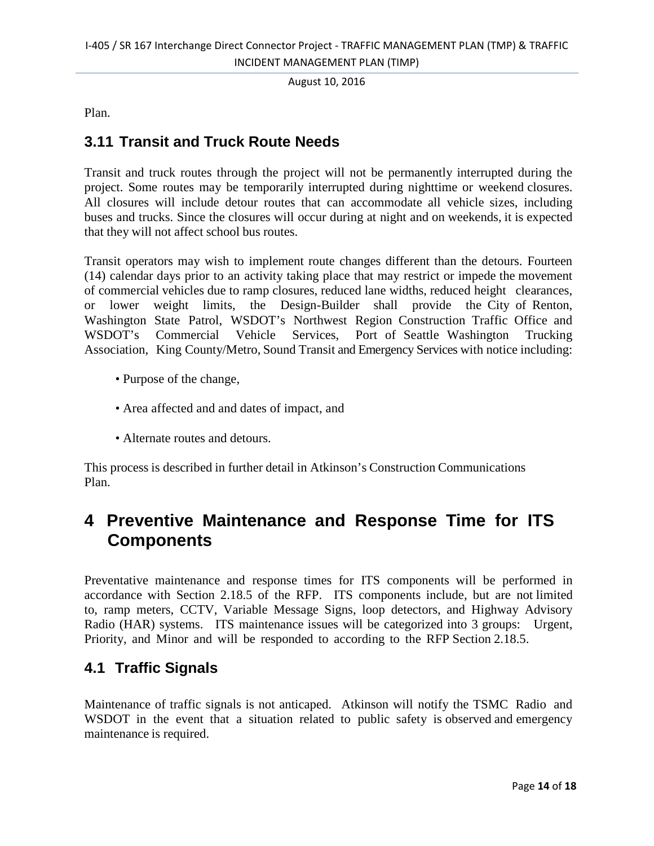Plan.

#### **3.11 Transit and Truck Route Needs**

Transit and truck routes through the project will not be permanently interrupted during the project. Some routes may be temporarily interrupted during nighttime or weekend closures. All closures will include detour routes that can accommodate all vehicle sizes, including buses and trucks. Since the closures will occur during at night and on weekends, it is expected that they will not affect school bus routes.

Transit operators may wish to implement route changes different than the detours. Fourteen (14) calendar days prior to an activity taking place that may restrict or impede the movement of commercial vehicles due to ramp closures, reduced lane widths, reduced height clearances, or lower weight limits, the Design-Builder shall provide the City of Renton, Washington State Patrol, WSDOT's Northwest Region Construction Traffic Office and WSDOT's Commercial Vehicle Services, Port of Seattle Washington Trucking Association, King County/Metro, Sound Transit and Emergency Services with notice including:

- Purpose of the change,
- Area affected and and dates of impact, and
- Alternate routes and detours.

This process is described in further detail in Atkinson's Construction Communications Plan.

## **4 Preventive Maintenance and Response Time for ITS Components**

Preventative maintenance and response times for ITS components will be performed in accordance with Section 2.18.5 of the RFP. ITS components include, but are not limited to, ramp meters, CCTV, Variable Message Signs, loop detectors, and Highway Advisory Radio (HAR) systems. ITS maintenance issues will be categorized into 3 groups: Urgent, Priority, and Minor and will be responded to according to the RFP Section 2.18.5.

#### **4.1 Traffic Signals**

Maintenance of traffic signals is not anticaped. Atkinson will notify the TSMC Radio and WSDOT in the event that a situation related to public safety is observed and emergency maintenance is required.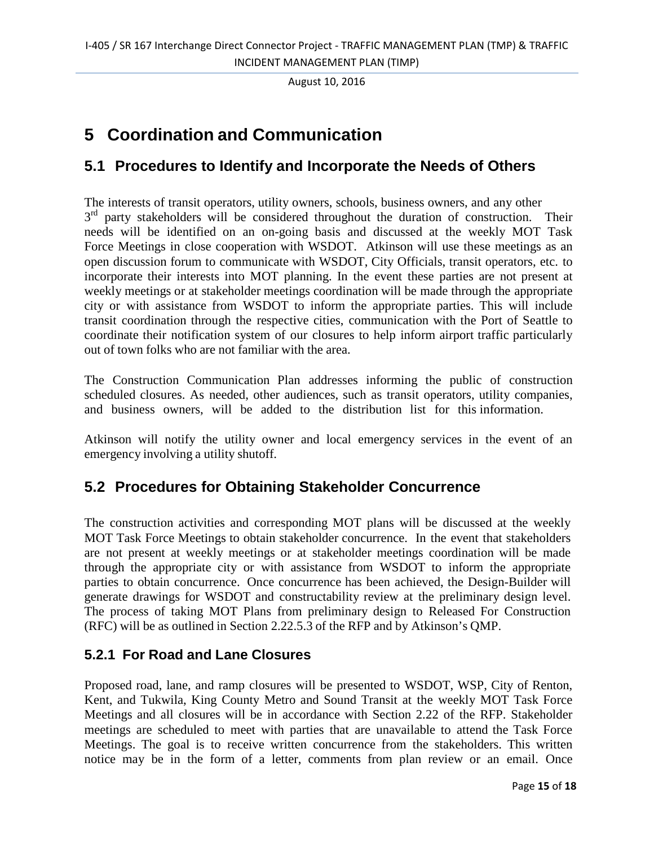## **5 Coordination and Communication**

#### **5.1 Procedures to Identify and Incorporate the Needs of Others**

The interests of transit operators, utility owners, schools, business owners, and any other  $3<sup>rd</sup>$  party stakeholders will be considered throughout the duration of construction. Their needs will be identified on an on-going basis and discussed at the weekly MOT Task Force Meetings in close cooperation with WSDOT. Atkinson will use these meetings as an open discussion forum to communicate with WSDOT, City Officials, transit operators, etc. to incorporate their interests into MOT planning. In the event these parties are not present at weekly meetings or at stakeholder meetings coordination will be made through the appropriate city or with assistance from WSDOT to inform the appropriate parties. This will include transit coordination through the respective cities, communication with the Port of Seattle to coordinate their notification system of our closures to help inform airport traffic particularly out of town folks who are not familiar with the area.

The Construction Communication Plan addresses informing the public of construction scheduled closures. As needed, other audiences, such as transit operators, utility companies, and business owners, will be added to the distribution list for this information.

Atkinson will notify the utility owner and local emergency services in the event of an emergency involving a utility shutoff.

#### **5.2 Procedures for Obtaining Stakeholder Concurrence**

The construction activities and corresponding MOT plans will be discussed at the weekly MOT Task Force Meetings to obtain stakeholder concurrence. In the event that stakeholders are not present at weekly meetings or at stakeholder meetings coordination will be made through the appropriate city or with assistance from WSDOT to inform the appropriate parties to obtain concurrence. Once concurrence has been achieved, the Design-Builder will generate drawings for WSDOT and constructability review at the preliminary design level. The process of taking MOT Plans from preliminary design to Released For Construction (RFC) will be as outlined in Section 2.22.5.3 of the RFP and by Atkinson's QMP.

#### **5.2.1 For Road and Lane Closures**

Proposed road, lane, and ramp closures will be presented to WSDOT, WSP, City of Renton, Kent, and Tukwila, King County Metro and Sound Transit at the weekly MOT Task Force Meetings and all closures will be in accordance with Section 2.22 of the RFP. Stakeholder meetings are scheduled to meet with parties that are unavailable to attend the Task Force Meetings. The goal is to receive written concurrence from the stakeholders. This written notice may be in the form of a letter, comments from plan review or an email. Once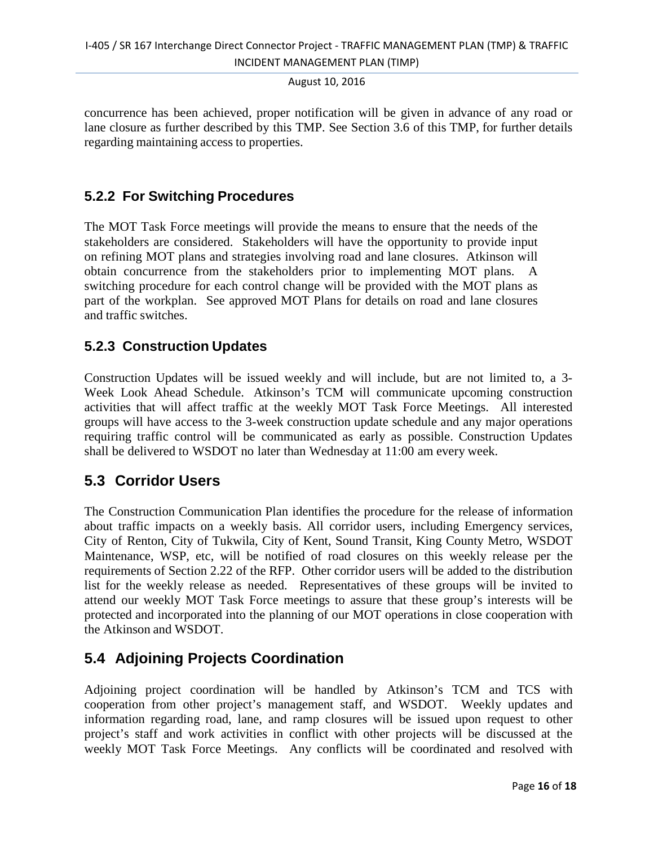concurrence has been achieved, proper notification will be given in advance of any road or lane closure as further described by this TMP. See Section 3.6 of this TMP, for further details regarding maintaining access to properties.

#### **5.2.2 For Switching Procedures**

The MOT Task Force meetings will provide the means to ensure that the needs of the stakeholders are considered. Stakeholders will have the opportunity to provide input on refining MOT plans and strategies involving road and lane closures. Atkinson will obtain concurrence from the stakeholders prior to implementing MOT plans. A switching procedure for each control change will be provided with the MOT plans as part of the workplan. See approved MOT Plans for details on road and lane closures and traffic switches.

#### **5.2.3 Construction Updates**

Construction Updates will be issued weekly and will include, but are not limited to, a 3- Week Look Ahead Schedule. Atkinson's TCM will communicate upcoming construction activities that will affect traffic at the weekly MOT Task Force Meetings. All interested groups will have access to the 3-week construction update schedule and any major operations requiring traffic control will be communicated as early as possible. Construction Updates shall be delivered to WSDOT no later than Wednesday at 11:00 am every week.

#### **5.3 Corridor Users**

The Construction Communication Plan identifies the procedure for the release of information about traffic impacts on a weekly basis. All corridor users, including Emergency services, City of Renton, City of Tukwila, City of Kent, Sound Transit, King County Metro, WSDOT Maintenance, WSP, etc, will be notified of road closures on this weekly release per the requirements of Section 2.22 of the RFP. Other corridor users will be added to the distribution list for the weekly release as needed. Representatives of these groups will be invited to attend our weekly MOT Task Force meetings to assure that these group's interests will be protected and incorporated into the planning of our MOT operations in close cooperation with the Atkinson and WSDOT.

#### **5.4 Adjoining Projects Coordination**

Adjoining project coordination will be handled by Atkinson's TCM and TCS with cooperation from other project's management staff, and WSDOT. Weekly updates and information regarding road, lane, and ramp closures will be issued upon request to other project's staff and work activities in conflict with other projects will be discussed at the weekly MOT Task Force Meetings. Any conflicts will be coordinated and resolved with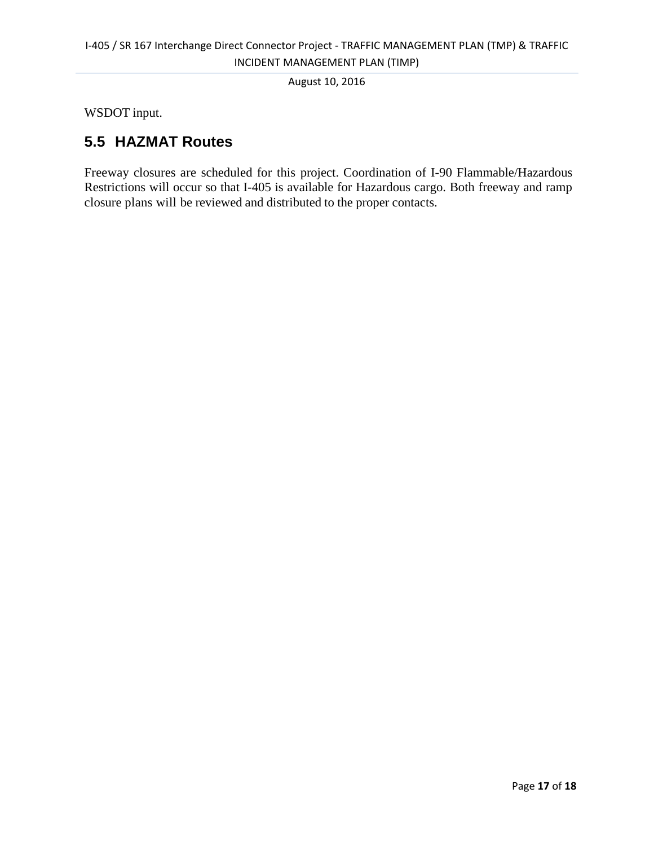WSDOT input.

#### **5.5 HAZMAT Routes**

Freeway closures are scheduled for this project. Coordination of I-90 Flammable/Hazardous Restrictions will occur so that I-405 is available for Hazardous cargo. Both freeway and ramp closure plans will be reviewed and distributed to the proper contacts.